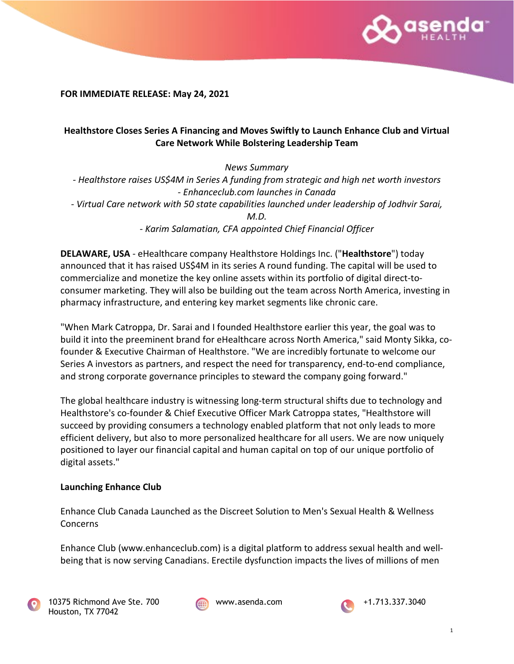

**FOR IMMEDIATE RELEASE: May 24, 2021**

# **Healthstore Closes Series A Financing and Moves Swiftly to Launch Enhance Club and Virtual Care Network While Bolstering Leadership Team**

*News Summary - Healthstore raises US\$4M in Series A funding from strategic and high net worth investors - Enhanceclub.com launches in Canada - Virtual Care network with 50 state capabilities launched under leadership of Jodhvir Sarai, M.D. - Karim Salamatian, CFA appointed Chief Financial Officer*

**DELAWARE, USA** - eHealthcare company Healthstore Holdings Inc. ("**Healthstore**") today announced that it has raised US\$4M in its series A round funding. The capital will be used to commercialize and monetize the key online assets within its portfolio of digital direct-toconsumer marketing. They will also be building out the team across North America, investing in pharmacy infrastructure, and entering key market segments like chronic care.

"When Mark Catroppa, Dr. Sarai and I founded Healthstore earlier this year, the goal was to build it into the preeminent brand for eHealthcare across North America," said Monty Sikka, cofounder & Executive Chairman of Healthstore. "We are incredibly fortunate to welcome our Series A investors as partners, and respect the need for transparency, end-to-end compliance, and strong corporate governance principles to steward the company going forward."

The global healthcare industry is witnessing long-term structural shifts due to technology and Healthstore's co-founder & Chief Executive Officer Mark Catroppa states, "Healthstore will succeed by providing consumers a technology enabled platform that not only leads to more efficient delivery, but also to more personalized healthcare for all users. We are now uniquely positioned to layer our financial capital and human capital on top of our unique portfolio of digital assets."

# **Launching Enhance Club**

Enhance Club Canada Launched as the Discreet Solution to Men's Sexual Health & Wellness Concerns

Enhance Club (www.enhanceclub.com) is a digital platform to address sexual health and wellbeing that is now serving Canadians. Erectile dysfunction impacts the lives of millions of men





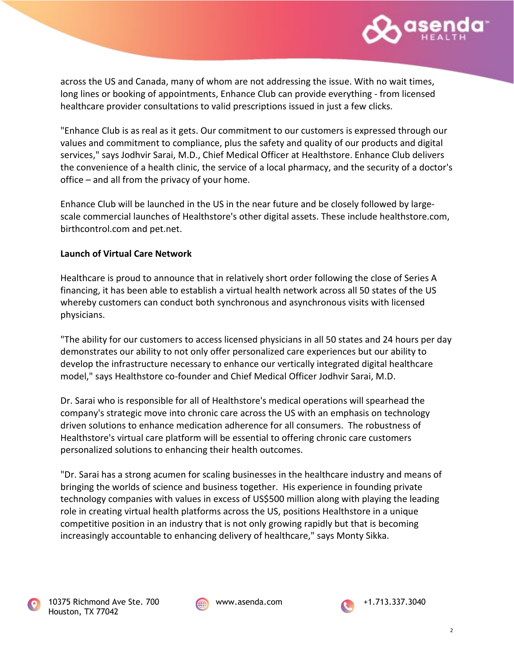

across the US and Canada, many of whom are not addressing the issue. With no wait times, long lines or booking of appointments, Enhance Club can provide everything - from licensed healthcare provider consultations to valid prescriptions issued in just a few clicks.

"Enhance Club is as real as it gets. Our commitment to our customers is expressed through our values and commitment to compliance, plus the safety and quality of our products and digital services," says Jodhvir Sarai, M.D., Chief Medical Officer at Healthstore. Enhance Club delivers the convenience of a health clinic, the service of a local pharmacy, and the security of a doctor's office – and all from the privacy of your home.

Enhance Club will be launched in the US in the near future and be closely followed by largescale commercial launches of Healthstore's other digital assets. These include healthstore.com, birthcontrol.com and pet.net.

### **Launch of Virtual Care Network**

Healthcare is proud to announce that in relatively short order following the close of Series A financing, it has been able to establish a virtual health network across all 50 states of the US whereby customers can conduct both synchronous and asynchronous visits with licensed physicians.

"The ability for our customers to access licensed physicians in all 50 states and 24 hours per day demonstrates our ability to not only offer personalized care experiences but our ability to develop the infrastructure necessary to enhance our vertically integrated digital healthcare model," says Healthstore co-founder and Chief Medical Officer Jodhvir Sarai, M.D.

Dr. Sarai who is responsible for all of Healthstore's medical operations will spearhead the company's strategic move into chronic care across the US with an emphasis on technology driven solutions to enhance medication adherence for all consumers. The robustness of Healthstore's virtual care platform will be essential to offering chronic care customers personalized solutions to enhancing their health outcomes.

"Dr. Sarai has a strong acumen for scaling businesses in the healthcare industry and means of bringing the worlds of science and business together. His experience in founding private technology companies with values in excess of US\$500 million along with playing the leading role in creating virtual health platforms across the US, positions Healthstore in a unique competitive position in an industry that is not only growing rapidly but that is becoming increasingly accountable to enhancing delivery of healthcare," says Monty Sikka.